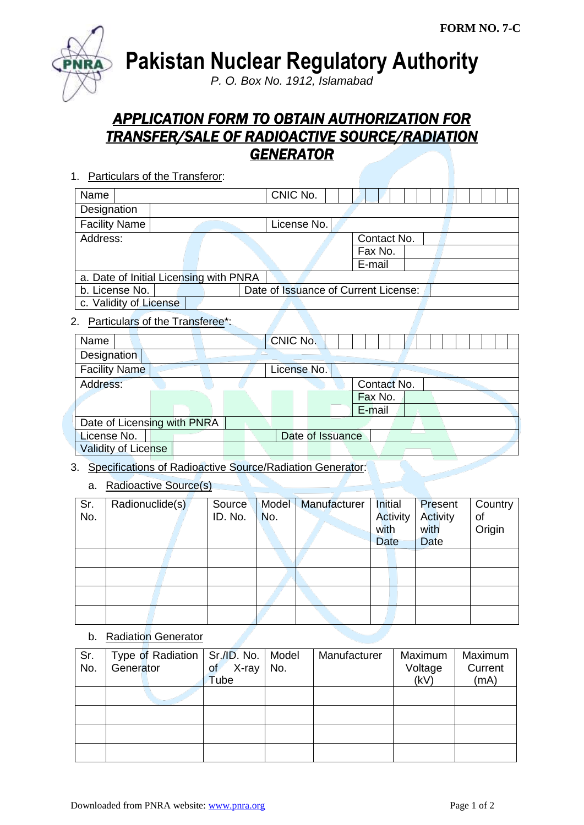

**Pakistan Nuclear Regulatory Authority**

*P. O. Box No. 1912, Islamabad*

# *APPLICATION FORM TO OBTAIN AUTHORIZATION FOR TRANSFER/SALE OF RADIOACTIVE SOURCE/RADIATION GENERATOR*

1. Particulars of the Transferor:

| Name                                   | CNIC No.                             |             |  |  |
|----------------------------------------|--------------------------------------|-------------|--|--|
| Designation                            |                                      |             |  |  |
| <b>Facility Name</b>                   | License No.                          |             |  |  |
| Address:                               |                                      | Contact No. |  |  |
|                                        |                                      | Fax No.     |  |  |
|                                        |                                      | E-mail      |  |  |
| a. Date of Initial Licensing with PNRA |                                      |             |  |  |
| b. License No.                         | Date of Issuance of Current License: |             |  |  |
| c. Validity of License                 |                                      |             |  |  |

### 2. Particulars of the Transferee\*:

| Name                        | CNIC No.         |             |  |  |  |  |
|-----------------------------|------------------|-------------|--|--|--|--|
| Designation                 |                  |             |  |  |  |  |
| <b>Facility Name</b>        | License No.      |             |  |  |  |  |
| Address:                    |                  | Contact No. |  |  |  |  |
|                             |                  | Fax No.     |  |  |  |  |
|                             |                  | E-mail      |  |  |  |  |
| Date of Licensing with PNRA |                  |             |  |  |  |  |
| License No.                 | Date of Issuance |             |  |  |  |  |
| <b>Validity of License</b>  |                  |             |  |  |  |  |

## 3. Specifications of Radioactive Source/Radiation Generator:

#### a. Radioactive Source(s)

| Sr.<br>No. | Radionuclide(s) | Source<br>ID. No. | No. | Model   Manufacturer | Initial<br>Activity<br>with | <b>Present</b><br>Activity<br>with | Country<br>of<br>Origin |
|------------|-----------------|-------------------|-----|----------------------|-----------------------------|------------------------------------|-------------------------|
|            |                 |                   |     |                      | Date                        | Date                               |                         |
|            |                 |                   |     |                      |                             |                                    |                         |
|            |                 |                   |     |                      |                             |                                    |                         |
|            |                 |                   |     |                      |                             |                                    |                         |
|            |                 |                   |     |                      |                             |                                    |                         |

#### b. Radiation Generator

| Sr. |           |  | Type of Radiation   Sr./ID. No.   Model |     | Manufacturer | Maximum | Maximum |
|-----|-----------|--|-----------------------------------------|-----|--------------|---------|---------|
| No. | Generator |  | X-ray<br>of                             | No. |              | Voltage | Current |
|     |           |  | Tube                                    |     |              | (kV)    | (mA)    |
|     |           |  |                                         |     |              |         |         |
|     |           |  |                                         |     |              |         |         |
|     |           |  |                                         |     |              |         |         |
|     |           |  |                                         |     |              |         |         |